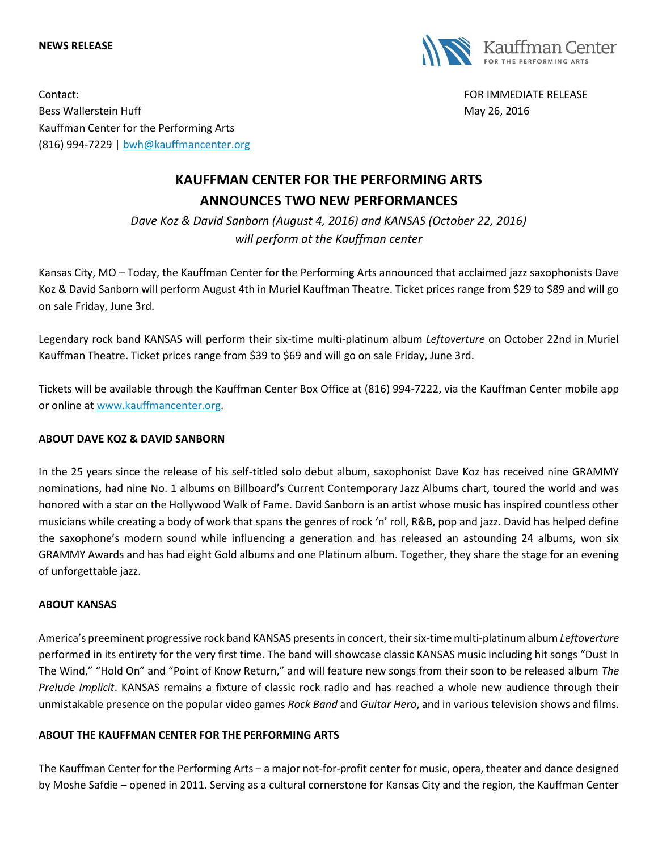#### **NEWS RELEASE**



Contact: FOR IMMEDIATE RELEASE Bess Wallerstein Huff **May 26, 2016** Nay 26, 2016 Kauffman Center for the Performing Arts (816) 994-7229 | [bwh@kauffmancenter.org](mailto:bwh@kauffmancenter.org)

# **KAUFFMAN CENTER FOR THE PERFORMING ARTS ANNOUNCES TWO NEW PERFORMANCES**

*Dave Koz & David Sanborn (August 4, 2016) and KANSAS (October 22, 2016) will perform at the Kauffman center*

Kansas City, MO – Today, the Kauffman Center for the Performing Arts announced that acclaimed jazz saxophonists Dave Koz & David Sanborn will perform August 4th in Muriel Kauffman Theatre. Ticket prices range from \$29 to \$89 and will go on sale Friday, June 3rd.

Legendary rock band KANSAS will perform their six-time multi-platinum album *Leftoverture* on October 22nd in Muriel Kauffman Theatre. Ticket prices range from \$39 to \$69 and will go on sale Friday, June 3rd.

Tickets will be available through the Kauffman Center Box Office at (816) 994-7222, via the Kauffman Center mobile app or online at [www.kauffmancenter.org.](http://www.kauffmancenter.org/)

### **ABOUT DAVE KOZ & DAVID SANBORN**

In the 25 years since the release of his self-titled solo debut album, saxophonist Dave Koz has received nine GRAMMY nominations, had nine No. 1 albums on Billboard's Current Contemporary Jazz Albums chart, toured the world and was honored with a star on the Hollywood Walk of Fame. David Sanborn is an artist whose music has inspired countless other musicians while creating a body of work that spans the genres of rock 'n' roll, R&B, pop and jazz. David has helped define the saxophone's modern sound while influencing a generation and has released an astounding 24 albums, won six GRAMMY Awards and has had eight Gold albums and one Platinum album. Together, they share the stage for an evening of unforgettable jazz.

### **ABOUT KANSAS**

America's preeminent progressive rock band KANSAS presents in concert, their six-time multi-platinum album *Leftoverture* performed in its entirety for the very first time. The band will showcase classic KANSAS music including hit songs "Dust In The Wind," "Hold On" and "Point of Know Return," and will feature new songs from their soon to be released album *The Prelude Implicit*. KANSAS remains a fixture of classic rock radio and has reached a whole new audience through their unmistakable presence on the popular video games *Rock Band* and *Guitar Hero*, and in various television shows and films.

## **ABOUT THE KAUFFMAN CENTER FOR THE PERFORMING ARTS**

The Kauffman Center for the Performing Arts – a major not-for-profit center for music, opera, theater and dance designed by Moshe Safdie – opened in 2011. Serving as a cultural cornerstone for Kansas City and the region, the Kauffman Center